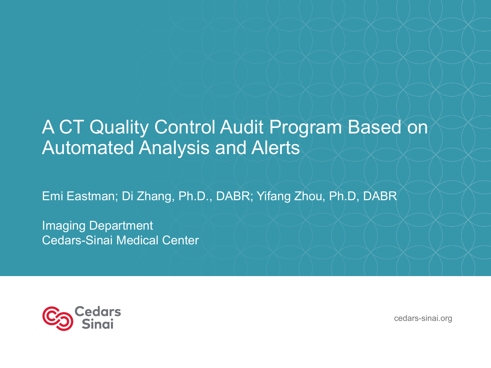#### A CT Quality Control Audit Program Based on Automated Analysis and Alerts

Emi Eastman; Di Zhang, Ph.D., DABR; Yifang Zhou, Ph.D, DABR

Imaging Department Cedars-Sinai Medical Center



cedars-sinai.org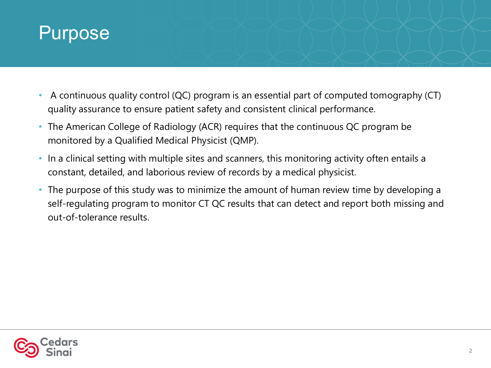#### Purpose

- A continuous quality control (QC) program is an essential part of computed tomography (CT) quality assurance to ensure patient safety and consistent clinical performance.
- The American College of Radiology (ACR) requires that the continuous QC program be monitored by a Qualified Medical Physicist (QMP).
- In a clinical setting with multiple sites and scanners, this monitoring activity often entails a constant, detailed, and laborious review of records by a medical physicist.
- The purpose of this study was to minimize the amount of human review time by developing a self-regulating program to monitor CT QC results that can detect and report both missing and out-of-tolerance results.

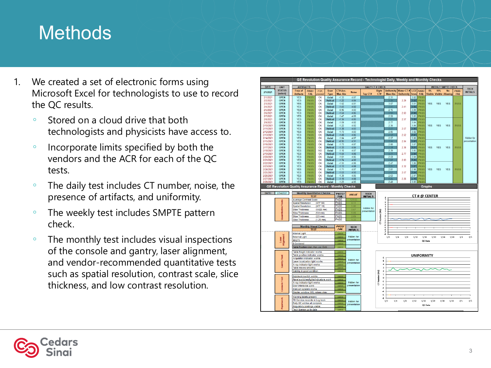# **Methods**

- 1. We created a set of electronic forms using Microsoft Excel for technologists to use to record the QC results.
	- Stored on a cloud drive that both technologists and physicists have access to.
	- Incorporate limits specified by both the vendors and the ACR for each of the QC tests.
	- The daily test includes CT number, noise, the presence of artifacts, and uniformity.
	- The weekly test includes SMPTE pattern check.
	- The monthly test includes visual inspections of the console and gantry, laser alignment, and vendor -recommended quantitative tests such as spatial resolution, contrast scale, slice thickness, and low contrast resolution.

|             |                    |                                                                                                                   |                              |                                      |                |                                            |                               |                         |              | GE Revolution Quality Assurance Record - Technologist Daily, Weekly and Monthly Checks |                   |        |                           |                   |            |                                 |             |                   |
|-------------|--------------------|-------------------------------------------------------------------------------------------------------------------|------------------------------|--------------------------------------|----------------|--------------------------------------------|-------------------------------|-------------------------|--------------|----------------------------------------------------------------------------------------|-------------------|--------|---------------------------|-------------------|------------|---------------------------------|-------------|-------------------|
| <b>DATE</b> | <b>UNIT</b>        | <b>ARTIFACTS</b>                                                                                                  |                              |                                      |                |                                            |                               | <b>DAILY CT # CHECK</b> |              |                                                                                        |                   |        | <b>WEEKLY SMPTE CHECK</b> |                   |            |                                 | <b>TECH</b> |                   |
| 2/1/2021    | <b>STATUS</b>      | Free of                                                                                                           | PASS/                        | If OK.                               | <b>Scan</b>    | CT# Acc.                                   | <b>Noise</b>                  |                         | <b>Right</b> | Uniformity Water CT # LCD PASS.                                                        |                   |        |                           | 5%                | 95%        | <b>No</b>                       | PASS/       | <b>INITIALS</b>   |
|             | (select)           | <b>Artifacts</b>                                                                                                  | <b>FAIL</b>                  | proceed                              | <b>Type</b>    | <b>Max Abs</b>                             |                               | Top CT#                 | CT#          | <b>Max Abs</b>                                                                         | <b>Uniformity</b> | 5mm    | <b>FAIL</b>               |                   |            | <b>Visible Visible Aliasing</b> | <b>FAIL</b> |                   |
| 2/1/2021    | <b>OPEN</b>        | <b>YES</b>                                                                                                        | PASS                         | OK                                   | Axial          | $-1.33$                                    | 4.87                          |                         |              | 2.31                                                                                   |                   | 3.02   | PAS!                      |                   |            |                                 |             |                   |
| 2/2/2021    | <b>OPEN</b>        | <b>YES</b>                                                                                                        | <b>PASS</b>                  | OK                                   | <b>Helical</b> | $-1.22$                                    | 4.84                          |                         |              |                                                                                        | 2.29              | 802    | <b>PASS</b>               |                   |            |                                 |             |                   |
| 2/3/2021    | <b>OPEN</b>        | <b>YES</b>                                                                                                        | <b>PASS</b>                  | OK                                   | Axial          | $-1.52$                                    | 4.81                          |                         |              | 3.07                                                                                   |                   | 3.01   | <b>PASS</b>               | <b>YES</b>        | <b>YES</b> | <b>YES</b>                      | <b>PASS</b> |                   |
| 2/4/2021    | <b>OPEN</b>        | <b>YES</b>                                                                                                        | <b>PASS</b>                  | OK                                   | <b>Helical</b> | $-1.43$                                    | 4.82                          |                         |              |                                                                                        | 2.41              | 888    | PASS                      |                   |            |                                 |             |                   |
| 2/5/2021    | <b>OPEN</b>        | <b>YES</b>                                                                                                        | <b>PASS</b>                  | OK                                   | Axial          | $-0.96$                                    | 483                           |                         |              | 2.15                                                                                   |                   | 3.09   | <b>PASS</b>               |                   |            |                                 |             |                   |
| 2/6/2021    | <b>OPEN</b>        | <b>YES</b>                                                                                                        | <b>PASS</b>                  | OK                                   | <b>Helical</b> | $-1.54$                                    | 4.85                          |                         |              |                                                                                        | 2.63              | m      | <b>PASS</b>               |                   |            |                                 |             |                   |
| 2/7/2021    | <b>OPEN</b>        | <b>YES</b>                                                                                                        | <b>PASS</b>                  | OK                                   | Axial          | $-1.47$                                    | 4.89                          |                         |              | 2.50                                                                                   |                   | 3.05   | <b>PASS</b>               |                   |            |                                 |             |                   |
| 2/8/2021    | <b>OPEN</b>        | <b>YES</b>                                                                                                        | <b>PASS</b>                  | OK                                   | <b>Helical</b> | $-1.34$                                    | 4.85                          |                         |              |                                                                                        | 2.57              | 336    | PASS                      |                   |            |                                 |             |                   |
| 2/9/2021    | <b>OPEN</b>        | <b>YES</b>                                                                                                        | <b>PASS</b>                  | OK                                   | Axial          | $-1.59$                                    | 482                           |                         |              | 2.77                                                                                   |                   | 3.04   | PASS                      |                   |            |                                 |             |                   |
| 2/10/2021   | <b>OPEN</b>        | <b>YES</b>                                                                                                        | <b>PASS</b>                  | OK                                   | Axial          | $-1.22$                                    | 4.82                          |                         |              | 2.34                                                                                   |                   | 3.06   | <b>PASS</b>               | <b>YES</b>        | <b>YES</b> | <b>YES</b>                      | <b>PASS</b> |                   |
| 2/11/2021   | <b>OPEN</b>        | <b>YES</b>                                                                                                        | <b>PASS</b>                  | OK                                   | <b>Helical</b> | $-1.38$                                    | 4.83                          |                         |              |                                                                                        | 2.57              | 330    | <b>PASS</b>               |                   |            |                                 |             |                   |
| 2/12/2021   | <b>OPEN</b>        | <b>YES</b>                                                                                                        | <b>PASS</b>                  | OK                                   | Axial          | $-1.73$                                    | 483                           |                         |              | 2.85                                                                                   |                   | 3.02   | PASS                      |                   |            |                                 |             |                   |
| 2/13/2021   | <b>OPEN</b>        | <b>YES</b>                                                                                                        | <b>PASS</b>                  | OK                                   | <b>Helical</b> | $-1.48$                                    | 4.85                          |                         |              |                                                                                        | 2.52              | sana.  | PASS                      |                   |            |                                 |             |                   |
| 2/14/2021   | <b>OPEN</b>        | <b>YES</b>                                                                                                        | <b>PASS</b>                  | OK                                   | Axial          | $-1.04$                                    | 4.87                          |                         |              | 2.57                                                                                   |                   | 3.06   | <b>PASS</b>               |                   |            |                                 |             | <b>Hidden</b> for |
| 2/15/2021   | <b>OPEN</b>        | <b>YES</b>                                                                                                        | <b>PASS</b>                  | OK                                   | <b>Helical</b> | $-0.95$                                    | 4.91                          |                         |              |                                                                                        | 2.04              | 887    | <b>PASS</b>               |                   |            |                                 |             | presentation      |
| 2/16/2021   | <b>OPEN</b>        | <b>YES</b>                                                                                                        | <b>PASS</b>                  | OK                                   | Axial          | $-173$                                     | 487                           |                         |              | 2.80                                                                                   |                   | 3.07   | <b>PASS</b>               |                   |            |                                 |             |                   |
| 2/17/2021   | <b>OPEN</b>        | <b>YES</b>                                                                                                        | <b>PASS</b>                  | OK                                   | <b>Helical</b> | $-1.33$                                    | 4.84                          |                         |              |                                                                                        | 2.38              | 8888   | PASS                      | <b>YES</b>        | <b>YES</b> | <b>YES</b>                      | PASS        |                   |
|             |                    |                                                                                                                   |                              | <b>NO</b>                            |                | $-110$                                     | 4.87                          |                         |              | 2.39                                                                                   |                   | 3.05   | <b>PASS</b>               |                   |            |                                 |             |                   |
| 2/18/2021   | <b>OPEN</b>        | <b>YES</b>                                                                                                        | <b>PASS</b>                  |                                      | Axial          |                                            |                               |                         |              |                                                                                        |                   |        |                           |                   |            |                                 |             |                   |
| 2/19/2021   | <b>OPEN</b>        | <b>YES</b>                                                                                                        | <b>PASS</b>                  | OK                                   | <b>Helical</b> | $-1.54$                                    | 4.86                          |                         |              |                                                                                        | 2.77              | 898    | <b>PASS</b>               |                   |            |                                 |             |                   |
| 2/20/2021   | <b>OPEN</b>        | <b>YES</b>                                                                                                        | <b>PASS</b>                  | OK                                   | Axial          | $-1.61$                                    | 4.85                          |                         |              | 2.59                                                                                   |                   | 3.04   | <b>PASS</b>               |                   |            |                                 |             |                   |
| 2/21/2021   | <b>OPEN</b>        | <b>YES</b>                                                                                                        | <b>PASS</b>                  | OK                                   | <b>Helical</b> | $-1.74$                                    | 4.82                          |                         |              |                                                                                        | 2.83              | 8888   | <b>PASS</b>               |                   |            |                                 |             |                   |
| 2/22/2021   | <b>OPEN</b>        | <b>YES</b>                                                                                                        | <b>PASS</b>                  | OK                                   | Axial          | $-1.55$                                    | 4.86                          |                         |              | 2.47                                                                                   |                   | 3.06   | <b>PASS</b>               |                   |            |                                 |             |                   |
| 2/23/2021   | <b>OPEN</b>        | <b>YES</b>                                                                                                        | <b>PASS</b>                  | OK                                   | <b>Helical</b> | $-1.13$                                    | 4.88                          |                         |              |                                                                                        | 2.32              | 3387   | <b>PASS</b>               |                   |            |                                 |             |                   |
| 2/24/2021   | <b>OPEN</b>        | <b>YES</b>                                                                                                        | <b>PASS</b>                  | OK                                   | Axial          | $-1.71$                                    | 4.87                          |                         |              | 2.81                                                                                   |                   | 2.98   | PASS                      | <b>YES</b>        | <b>YES</b> | <b>YES</b>                      | PASS        |                   |
| 2/25/2021   | <b>OPEN</b>        | <b>YES</b>                                                                                                        | <b>PASS</b>                  | OK                                   | <b>Helical</b> | $-1.53$                                    | A93                           |                         |              |                                                                                        | 2.57              | um     | PASS                      |                   |            |                                 |             |                   |
| 2/26/2021   | <b>OPEN</b>        | <b>YES</b>                                                                                                        | <b>PASS</b>                  | OK                                   | Axial          | $-1.39$                                    | 4.85                          |                         |              | 2.63                                                                                   |                   | 2.97   | <b>PASS</b>               |                   |            |                                 |             |                   |
| 2/27/2021   | <b>OPEN</b>        | <b>YES</b>                                                                                                        | <b>PASS</b>                  | OK                                   | <b>Helical</b> | $-1.19$                                    | 4.88                          |                         |              |                                                                                        | 2.26              | 888 B. | <b>PASS</b>               |                   |            |                                 |             |                   |
| 2/28/2021   | <b>OPFN</b>        | <b>YFS</b>                                                                                                        | <b>PASS</b>                  | OK                                   | Axial          | $-123$                                     | 4.85                          |                         |              | 2.49                                                                                   |                   | 3.05   | PAS!                      |                   |            |                                 |             |                   |
|             | Quantitative Tests | <b>Average Contrast Scale</b><br><b>Spatial Resolution</b><br><b>Spatial Resolution</b><br><b>Slice Thickness</b> |                              | (MTF 50)<br>(MTF 10)<br>$(0.625$ mm) |                | PASS<br><b>PASS</b><br><b>PASS</b><br>PASS | 121.6<br>9.11<br>5.86<br>0.67 | Hidden for              |              | 6<br>5<br>4<br>3                                                                       |                   |        |                           |                   |            |                                 |             |                   |
|             |                    | Slice Thickness                                                                                                   |                              | $(5.0 \text{ mm})$                   |                | <b>PASS</b>                                | 5.89                          | presentation            | E            | $\overline{2}$<br>Í                                                                    |                   |        |                           |                   |            |                                 |             |                   |
|             |                    | <b>Slice Thickness</b>                                                                                            |                              | $(2.5 \text{ mm})$                   |                | PASS                                       | 2.69                          |                         | Number       | $\circ$                                                                                |                   |        |                           |                   |            |                                 |             |                   |
|             |                    | <b>Slice Thickness</b>                                                                                            |                              | $(1.25 \text{ mm})$                  |                | PASS                                       | 1.33                          |                         |              |                                                                                        |                   |        |                           |                   |            |                                 |             |                   |
|             |                    |                                                                                                                   |                              |                                      |                |                                            |                               |                         | 5            | $\frac{1}{3}$                                                                          |                   |        |                           |                   |            |                                 |             |                   |
|             |                    |                                                                                                                   | <b>Monthly Visual Checks</b> |                                      |                | <b>PASSI</b>                               |                               |                         |              | $\mathcal{A}$                                                                          |                   |        |                           |                   |            |                                 |             |                   |
|             |                    |                                                                                                                   |                              |                                      |                | <b>FAIL</b>                                | <b>TECH</b>                   |                         |              | ×.                                                                                     |                   |        |                           |                   |            |                                 |             |                   |
|             |                    |                                                                                                                   | <b>TEST</b>                  |                                      |                |                                            | <b>INITIALS</b>               |                         |              | $-6$<br>ā                                                                              |                   |        |                           |                   |            |                                 |             |                   |
|             |                    | Internal Light                                                                                                    |                              |                                      |                | pass                                       |                               |                         |              | s,                                                                                     |                   |        |                           |                   |            |                                 |             |                   |
|             |                    | <b>External Light</b>                                                                                             |                              |                                      |                | pass                                       | <b>Hidden</b> for             |                         |              | 1/0                                                                                    | 1/4<br>$1/8$      | 1/12   | 1/16                      |                   | 1/20       | 1/24<br>1/28                    | 2/1         | 2/5               |
|             | Laser              | 90/270                                                                                                            |                              |                                      |                | pass                                       | presentation                  |                         |              |                                                                                        |                   |        |                           | QC Date           |            |                                 |             |                   |
|             | Alignment          | 0 Centered                                                                                                        |                              |                                      |                | pass                                       |                               |                         |              |                                                                                        |                   |        |                           |                   |            |                                 |             |                   |
|             |                    | Table Position (Jan, Apr, Jul, Oct)                                                                               |                              |                                      |                | pass                                       |                               |                         |              |                                                                                        |                   |        |                           |                   |            |                                 |             |                   |
|             |                    |                                                                                                                   |                              |                                      |                |                                            |                               |                         |              |                                                                                        |                   |        |                           |                   |            |                                 |             |                   |
|             |                    | Table Height Indicator works                                                                                      |                              |                                      |                | pass                                       |                               |                         |              |                                                                                        |                   |        |                           |                   |            |                                 |             |                   |
|             |                    | Table position indicator works                                                                                    |                              |                                      |                | pass                                       |                               |                         |              |                                                                                        |                   |        |                           | <b>UNIFORMITY</b> |            |                                 |             |                   |
|             |                    | Angulation indicator works                                                                                        |                              |                                      |                | pass                                       | <b>Hidden</b> for             |                         |              | 6                                                                                      |                   |        |                           |                   |            |                                 |             |                   |
|             |                    | Laser localization light works                                                                                    |                              |                                      |                | pas:                                       | presentation                  |                         |              | 5                                                                                      |                   |        |                           |                   |            |                                 |             |                   |
|             |                    |                                                                                                                   |                              |                                      |                |                                            |                               |                         |              | $\ddot{a}$                                                                             |                   |        |                           |                   |            |                                 |             |                   |
|             |                    | K-ray indicator light works                                                                                       |                              |                                      |                | pass                                       |                               |                         |              | 3                                                                                      |                   |        |                           |                   |            |                                 |             |                   |
|             | <b>Gantry Test</b> | Table moves smoothly                                                                                              |                              |                                      |                | pass                                       |                               |                         |              | $\overline{2}$                                                                         |                   |        |                           |                   |            |                                 |             |                   |
|             |                    | Cabling in good condition                                                                                         |                              |                                      |                |                                            |                               |                         |              | $\overline{1}$                                                                         |                   |        |                           |                   |            |                                 |             |                   |
|             |                    |                                                                                                                   |                              |                                      |                |                                            |                               |                         |              |                                                                                        |                   |        |                           |                   |            |                                 |             |                   |
|             |                    | Exposure switch works                                                                                             |                              |                                      |                | pass                                       |                               |                         |              |                                                                                        |                   |        |                           |                   |            |                                 |             |                   |
|             |                    | Panel switches/lights/indicators work                                                                             |                              |                                      |                | pass                                       |                               |                         |              | $\circ$                                                                                |                   |        |                           |                   |            |                                 |             |                   |
|             |                    | X-ray indicator light works                                                                                       |                              |                                      |                | pass                                       | <b>Hidden</b> for             |                         | Number (HU)  | $\mathbf{-1}$                                                                          |                   |        |                           |                   |            |                                 |             |                   |
|             |                    | Door interlocks work                                                                                              |                              |                                      |                | pass                                       | presentation                  |                         | Ե            | $-2$                                                                                   |                   |        |                           |                   |            |                                 |             |                   |
|             |                    | Intercom system works                                                                                             |                              |                                      |                | pass                                       |                               |                         |              | -3                                                                                     |                   |        |                           |                   |            |                                 |             |                   |
|             | Console Test       | Display window W/L values okay                                                                                    |                              |                                      |                | pass                                       |                               |                         |              | $\overline{a}$                                                                         |                   |        |                           |                   |            |                                 |             |                   |
|             |                    |                                                                                                                   |                              |                                      |                |                                            |                               |                         |              | 5                                                                                      |                   |        |                           |                   |            |                                 |             |                   |
|             |                    | Warning labels present                                                                                            |                              |                                      |                | pass                                       |                               |                         |              | s.                                                                                     |                   |        |                           |                   |            |                                 |             |                   |
|             |                    | PM Service records in Log book                                                                                    |                              |                                      |                | pass                                       | Hidden for                    |                         |              | 1/0<br>1/4                                                                             | 1/8               | 1/12   | 1/16                      | 1/20              | 1/24       | 1/28                            | 2/1         |                   |
|             |                    | Daily QC entries all complete                                                                                     |                              |                                      |                | pass                                       | presentation                  |                         |              |                                                                                        |                   |        |                           | QC Date           |            |                                 |             | 2/5               |
|             | Paperwork          | Regulatory postings visible<br>Tech license un to date                                                            |                              |                                      |                | pass                                       |                               |                         |              |                                                                                        |                   |        |                           |                   |            |                                 |             |                   |

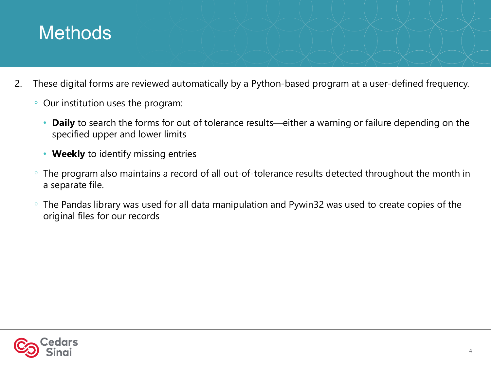## **Methods**

- 2. These digital forms are reviewed automatically by a Python-based program at a user-defined frequency.
	- Our institution uses the program:
		- **Daily** to search the forms for out of tolerance results—either a warning or failure depending on the specified upper and lower limits
		- **Weekly** to identify missing entries
	- The program also maintains a record of all out-of-tolerance results detected throughout the month in a separate file.
	- The Pandas library was used for all data manipulation and Pywin32 was used to create copies of the original files for our records

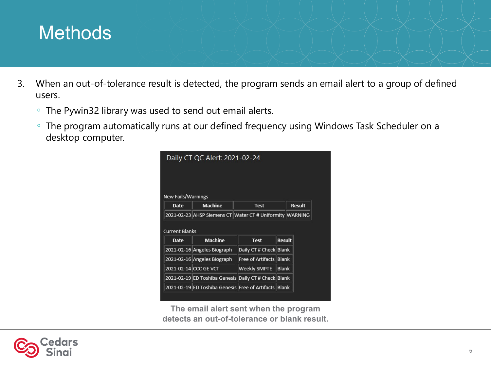## **Methods**

- 3. When an out-of-tolerance result is detected, the program sends an email alert to a group of defined users.
	- The Pywin32 library was used to send out email alerts.
	- The program automatically runs at our defined frequency using Windows Task Scheduler on a desktop computer.



**The email alert sent when the program detects an out-of-tolerance or blank result.**

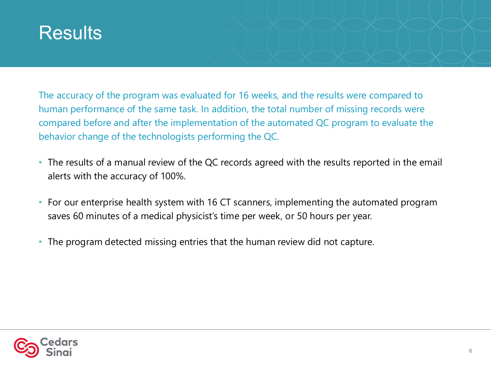### **Results**

The accuracy of the program was evaluated for 16 weeks, and the results were compared to human performance of the same task. In addition, the total number of missing records were compared before and after the implementation of the automated QC program to evaluate the behavior change of the technologists performing the QC.

- The results of a manual review of the QC records agreed with the results reported in the email alerts with the accuracy of 100%.
- For our enterprise health system with 16 CT scanners, implementing the automated program saves 60 minutes of a medical physicist's time per week, or 50 hours per year.
- The program detected missing entries that the human review did not capture.

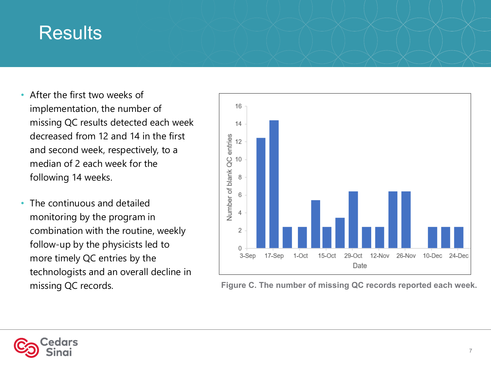### **Results**

- After the first two weeks of implementation, the number of missing QC results detected each week decreased from 12 and 14 in the first and second week, respectively, to a median of 2 each week for the following 14 weeks.
- The continuous and detailed monitoring by the program in combination with the routine, weekly follow-up by the physicists led to more timely QC entries by the technologists and an overall decline in missing QC records.



**Figure C. The number of missing QC records reported each week.**